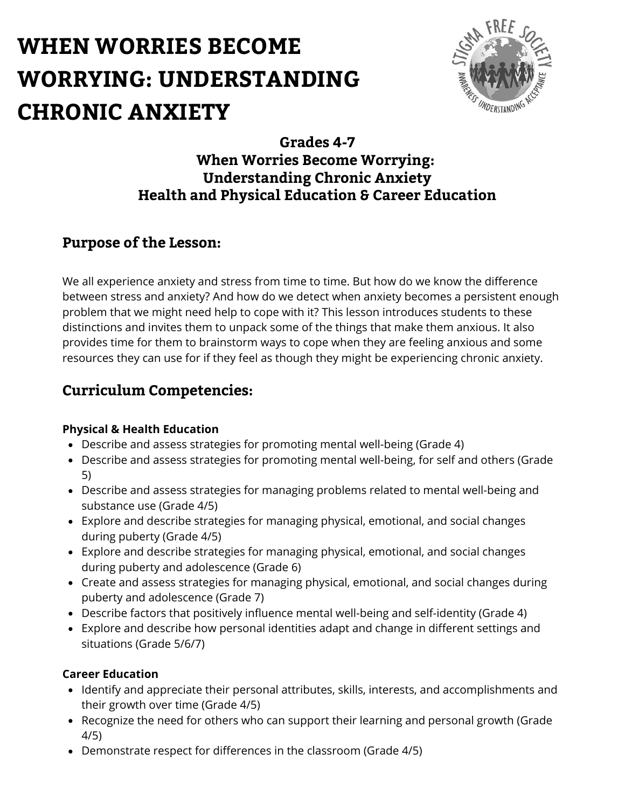

## **Grades 4-7 When Worries Become Worrying: Understanding Chronic Anxiety Health and Physical Education & Career Education**

## **Purpose of the Lesson:**

We all experience anxiety and stress from time to time. But how do we know the difference between stress and anxiety? And how do we detect when anxiety becomes a persistent enough problem that we might need help to cope with it? This lesson introduces students to these distinctions and invites them to unpack some of the things that make them anxious. It also provides time for them to brainstorm ways to cope when they are feeling anxious and some resources they can use for if they feel as though they might be experiencing chronic anxiety.

## **Curriculum Competencies:**

#### **Physical & Health Education**

- Describe and assess strategies for promoting mental well-being (Grade 4)
- Describe and assess strategies for promoting mental well-being, for self and others (Grade 5)
- Describe and assess strategies for managing problems related to mental well-being and substance use (Grade 4/5)
- Explore and describe strategies for managing physical, emotional, and social changes during puberty (Grade 4/5)
- Explore and describe strategies for managing physical, emotional, and social changes during puberty and adolescence (Grade 6)
- Create and assess strategies for managing physical, emotional, and social changes during puberty and adolescence (Grade 7)
- Describe factors that positively influence mental well-being and self-identity (Grade 4)
- Explore and describe how personal identities adapt and change in different settings and situations (Grade 5/6/7)

#### **Career Education**

- Identify and appreciate their personal attributes, skills, interests, and accomplishments and their growth over time (Grade 4/5)
- Recognize the need for others who can support their learning and personal growth (Grade 4/5)
- Demonstrate respect for differences in the classroom (Grade 4/5)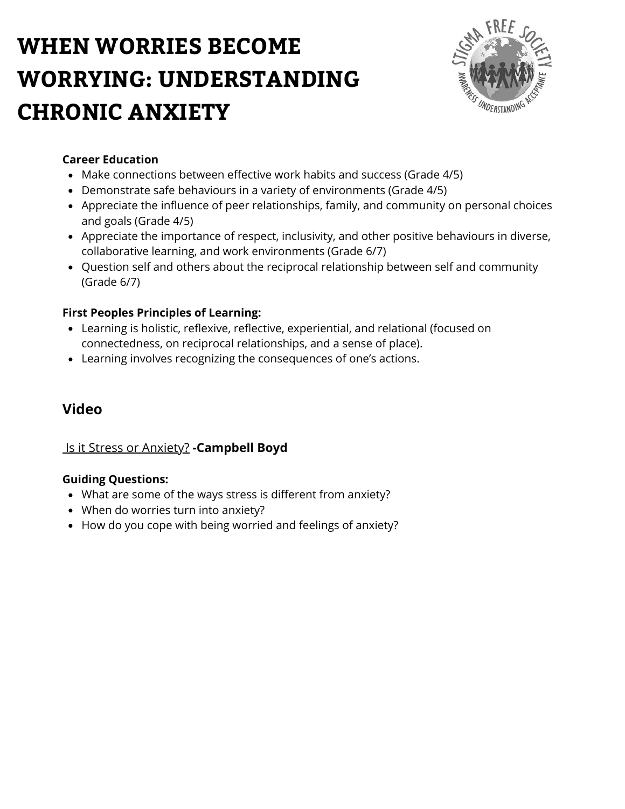

### **Career Education**

- Make connections between effective work habits and success (Grade 4/5)
- Demonstrate safe behaviours in a variety of environments (Grade 4/5)
- Appreciate the influence of peer relationships, family, and community on personal choices and goals (Grade 4/5)
- Appreciate the importance of respect, inclusivity, and other positive behaviours in diverse, collaborative learning, and work environments (Grade 6/7)
- Question self and others about the reciprocal relationship between self and community (Grade 6/7)

## **First Peoples Principles of Learning:**

- Learning is holistic, reflexive, reflective, experiential, and relational (focused on connectedness, on reciprocal relationships, and a sense of place).
- Learning involves recognizing the consequences of one's actions.

## **Video**

## [Is it Stress or Anxiety?](https://www.youtube.com/watch?v=LFG-rT1aVSU) **-Campbell Boyd**

#### **Guiding Questions:**

- What are some of the ways stress is different from anxiety?
- When do worries turn into anxiety?
- How do you cope with being worried and feelings of anxiety?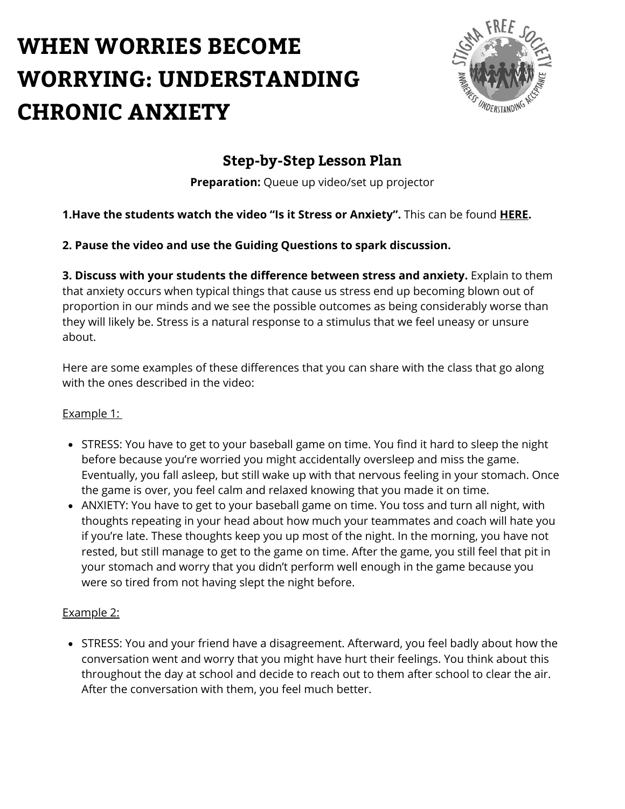

## **Step-by-Step Lesson Plan**

**Preparation:** Queue up video/set up projector

## **1.Have the students watch the video "Is it Stress or Anxiety".** This can be found **[HERE.](https://www.youtube.com/watch?v=LFG-rT1aVSU)**

### **2. Pause the video and use the Guiding Questions to spark discussion.**

**3. Discuss with your students the difference between stress and anxiety.** Explain to them that anxiety occurs when typical things that cause us stress end up becoming blown out of proportion in our minds and we see the possible outcomes as being considerably worse than they will likely be. Stress is a natural response to a stimulus that we feel uneasy or unsure about.

Here are some examples of these differences that you can share with the class that go along with the ones described in the video:

#### Example 1:

- STRESS: You have to get to your baseball game on time. You find it hard to sleep the night before because you're worried you might accidentally oversleep and miss the game. Eventually, you fall asleep, but still wake up with that nervous feeling in your stomach. Once the game is over, you feel calm and relaxed knowing that you made it on time.
- ANXIETY: You have to get to your baseball game on time. You toss and turn all night, with thoughts repeating in your head about how much your teammates and coach will hate you if you're late. These thoughts keep you up most of the night. In the morning, you have not rested, but still manage to get to the game on time. After the game, you still feel that pit in your stomach and worry that you didn't perform well enough in the game because you were so tired from not having slept the night before.

#### Example 2:

• STRESS: You and your friend have a disagreement. Afterward, you feel badly about how the conversation went and worry that you might have hurt their feelings. You think about this throughout the day at school and decide to reach out to them after school to clear the air. After the conversation with them, you feel much better.